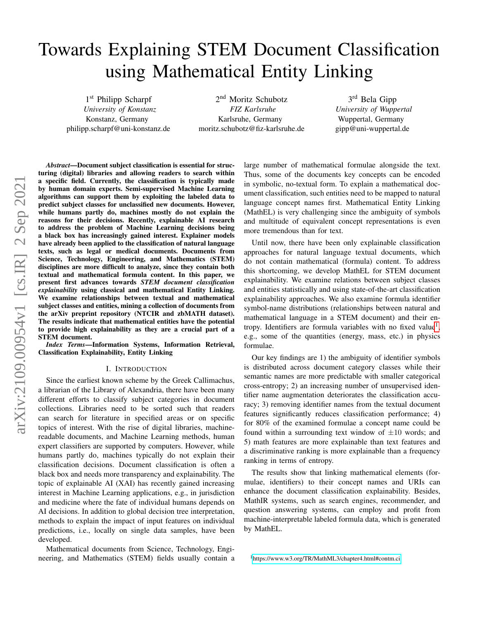# Towards Explaining STEM Document Classification using Mathematical Entity Linking

1<sup>st</sup> Philipp Scharpf *University of Konstanz* Konstanz, Germany philipp.scharpf@uni-konstanz.de

2<sup>nd</sup> Moritz Schubotz *FIZ Karlsruhe* Karlsruhe, Germany moritz.schubotz@fiz-karlsruhe.de

3<sup>rd</sup> Bela Gipp *University of Wuppertal* Wuppertal, Germany gipp@uni-wuppertal.de

*Abstract*—Document subject classification is essential for structuring (digital) libraries and allowing readers to search within a specific field. Currently, the classification is typically made by human domain experts. Semi-supervised Machine Learning algorithms can support them by exploiting the labeled data to predict subject classes for unclassified new documents. However, while humans partly do, machines mostly do not explain the reasons for their decisions. Recently, explainable AI research to address the problem of Machine Learning decisions being a black box has increasingly gained interest. Explainer models have already been applied to the classification of natural language texts, such as legal or medical documents. Documents from Science, Technology, Engineering, and Mathematics (STEM) disciplines are more difficult to analyze, since they contain both textual and mathematical formula content. In this paper, we present first advances towards *STEM document classification explainability* using classical and mathematical Entity Linking. We examine relationships between textual and mathematical subject classes and entities, mining a collection of documents from the arXiv preprint repository (NTCIR and zbMATH dataset). The results indicate that mathematical entities have the potential to provide high explainability as they are a crucial part of a STEM document.

*Index Terms*—Information Systems, Information Retrieval, Classification Explainability, Entity Linking

#### I. INTRODUCTION

Since the earliest known scheme by the Greek Callimachus, a librarian of the Library of Alexandria, there have been many different efforts to classify subject categories in document collections. Libraries need to be sorted such that readers can search for literature in specified areas or on specific topics of interest. With the rise of digital libraries, machinereadable documents, and Machine Learning methods, human expert classifiers are supported by computers. However, while humans partly do, machines typically do not explain their classification decisions. Document classification is often a black box and needs more transparency and explainability. The topic of explainable AI (XAI) has recently gained increasing interest in Machine Learning applications, e.g., in jurisdiction and medicine where the fate of individual humans depends on AI decisions. In addition to global decision tree interpretation, methods to explain the impact of input features on individual predictions, i.e., locally on single data samples, have been developed.

Mathematical documents from Science, Technology, Engineering, and Mathematics (STEM) fields usually contain a large number of mathematical formulae alongside the text. Thus, some of the documents key concepts can be encoded in symbolic, no-textual form. To explain a mathematical document classification, such entities need to be mapped to natural language concept names first. Mathematical Entity Linking (MathEL) is very challenging since the ambiguity of symbols and multitude of equivalent concept representations is even more tremendous than for text.

Until now, there have been only explainable classification approaches for natural language textual documents, which do not contain mathematical (formula) content. To address this shortcoming, we develop MathEL for STEM document explainability. We examine relations between subject classes and entities statistically and using state-of-the-art classification explainability approaches. We also examine formula identifier symbol-name distributions (relationships between natural and mathematical language in a STEM document) and their en-tropy. Identifiers are formula variables with no fixed value<sup>[1](#page-0-0)</sup>, e.g., some of the quantities (energy, mass, etc.) in physics formulae.

Our key findings are 1) the ambiguity of identifier symbols is distributed across document category classes while their semantic names are more predictable with smaller categorical cross-entropy; 2) an increasing number of unsupervised identifier name augmentation deteriorates the classification accuracy; 3) removing identifier names from the textual document features significantly reduces classification performance; 4) for 80% of the examined formulae a concept name could be found within a surrounding text window of  $\pm 10$  words; and 5) math features are more explainable than text features and a discriminative ranking is more explainable than a frequency ranking in terms of entropy.

The results show that linking mathematical elements (formulae, identifiers) to their concept names and URIs can enhance the document classification explainability. Besides, MathIR systems, such as search engines, recommender, and question answering systems, can employ and profit from machine-interpretable labeled formula data, which is generated by MathEL.

<span id="page-0-0"></span><sup>1</sup><https://www.w3.org/TR/MathML3/chapter4.html#contm.ci>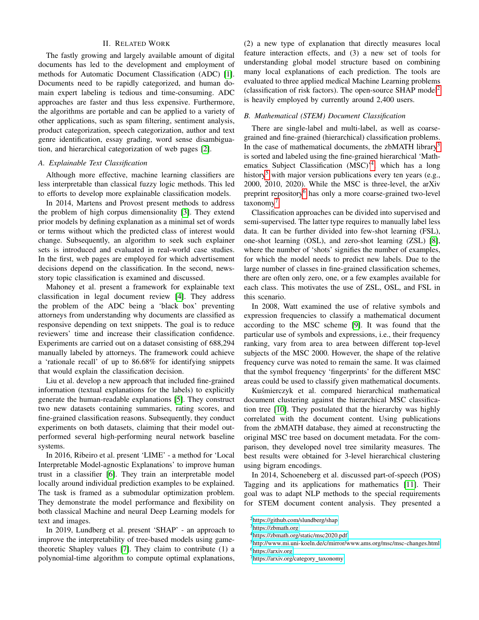## II. RELATED WORK

The fastly growing and largely available amount of digital documents has led to the development and employment of methods for Automatic Document Classification (ADC) [\[1\]](#page-9-0). Documents need to be rapidly categorized, and human domain expert labeling is tedious and time-consuming. ADC approaches are faster and thus less expensive. Furthermore, the algorithms are portable and can be applied to a variety of other applications, such as spam filtering, sentiment analysis, product categorization, speech categorization, author and text genre identification, essay grading, word sense disambiguation, and hierarchical categorization of web pages [\[2\]](#page-9-1).

# *A. Explainable Text Classification*

Although more effective, machine learning classifiers are less interpretable than classical fuzzy logic methods. This led to efforts to develop more explainable classification models.

In 2014, Martens and Provost present methods to address the problem of high corpus dimensionality [\[3\]](#page-9-2). They extend prior models by defining explanation as a minimal set of words or terms without which the predicted class of interest would change. Subsequently, an algorithm to seek such explainer sets is introduced and evaluated in real-world case studies. In the first, web pages are employed for which advertisement decisions depend on the classification. In the second, newsstory topic classification is examined and discussed.

Mahoney et al. present a framework for explainable text classification in legal document review [\[4\]](#page-9-3). They address the problem of the ADC being a 'black box' preventing attorneys from understanding why documents are classified as responsive depending on text snippets. The goal is to reduce reviewers' time and increase their classification confidence. Experiments are carried out on a dataset consisting of 688,294 manually labeled by attorneys. The framework could achieve a 'rationale recall' of up to 86.68% for identifying snippets that would explain the classification decision.

Liu et al. develop a new approach that included fine-grained information (textual explanations for the labels) to explicitly generate the human-readable explanations [\[5\]](#page-9-4). They construct two new datasets containing summaries, rating scores, and fine-grained classification reasons. Subsequently, they conduct experiments on both datasets, claiming that their model outperformed several high-performing neural network baseline systems.

In 2016, Ribeiro et al. present 'LIME' - a method for 'Local Interpretable Model-agnostic Explanations' to improve human trust in a classifier [\[6\]](#page-9-5). They train an interpretable model locally around individual prediction examples to be explained. The task is framed as a submodular optimization problem. They demonstrate the model performance and flexibility on both classical Machine and neural Deep Learning models for text and images.

In 2019, Lundberg et al. present 'SHAP' - an approach to improve the interpretability of tree-based models using gametheoretic Shapley values [\[7\]](#page-9-6). They claim to contribute (1) a polynomial-time algorithm to compute optimal explanations,

(2) a new type of explanation that directly measures local feature interaction effects, and (3) a new set of tools for understanding global model structure based on combining many local explanations of each prediction. The tools are evaluated to three applied medical Machine Learning problems (classification of risk factors). The open-source SHAP model[2](#page-1-0) is heavily employed by currently around 2,400 users.

# *B. Mathematical (STEM) Document Classification*

There are single-label and multi-label, as well as coarsegrained and fine-grained (hierarchical) classification problems. In the case of mathematical documents, the zbMATH library<sup>[3](#page-1-1)</sup> is sorted and labeled using the fine-grained hierarchical 'Math-ematics Subject Classification (MSC)<sup>2[4](#page-1-2)</sup>, which has a long history<sup>[5](#page-1-3)</sup> with major version publications every ten years (e.g., 2000, 2010, 2020). While the MSC is three-level, the arXiv preprint repository<sup>[6](#page-1-4)</sup> has only a more coarse-grained two-level taxonomy<sup>[7](#page-1-5)</sup>.

Classification approaches can be divided into supervised and semi-supervised. The latter type requires to manually label less data. It can be further divided into few-shot learning (FSL), one-shot learning (OSL), and zero-shot learning (ZSL) [\[8\]](#page-9-7), where the number of 'shots' signifies the number of examples, for which the model needs to predict new labels. Due to the large number of classes in fine-grained classification schemes, there are often only zero, one, or a few examples available for each class. This motivates the use of ZSL, OSL, and FSL in this scenario.

In 2008, Watt examined the use of relative symbols and expression frequencies to classify a mathematical document according to the MSC scheme [\[9\]](#page-9-8). It was found that the particular use of symbols and expressions, i.e., their frequency ranking, vary from area to area between different top-level subjects of the MSC 2000. However, the shape of the relative frequency curve was noted to remain the same. It was claimed that the symbol frequency 'fingerprints' for the different MSC areas could be used to classify given mathematical documents.

Kuśmierczyk et al. compared hierarchical mathematical document clustering against the hierarchical MSC classification tree [\[10\]](#page-9-9). They postulated that the hierarchy was highly correlated with the document content. Using publications from the zbMATH database, they aimed at reconstructing the original MSC tree based on document metadata. For the comparison, they developed novel tree similarity measures. The best results were obtained for 3-level hierarchical clustering using bigram encodings.

In 2014, Schoeneberg et al. discussed part-of-speech (POS) Tagging and its applications for mathematics [\[11\]](#page-9-10). Their goal was to adapt NLP methods to the special requirements for STEM document content analysis. They presented a

<span id="page-1-0"></span><sup>2</sup><https://github.com/slundberg/shap>

<span id="page-1-1"></span><sup>3</sup><https://zbmath.org>

<span id="page-1-2"></span><sup>4</sup><https://zbmath.org/static/msc2020.pdf>

<span id="page-1-4"></span><span id="page-1-3"></span><sup>5</sup><http://www.mi.uni-koeln.de/c/mirror/www.ams.org/msc/msc-changes.html> <sup>6</sup><https://arxiv.org>

<span id="page-1-5"></span> $7$ [https://arxiv.org/category](https://arxiv.org/category_taxonomy)\_taxonomy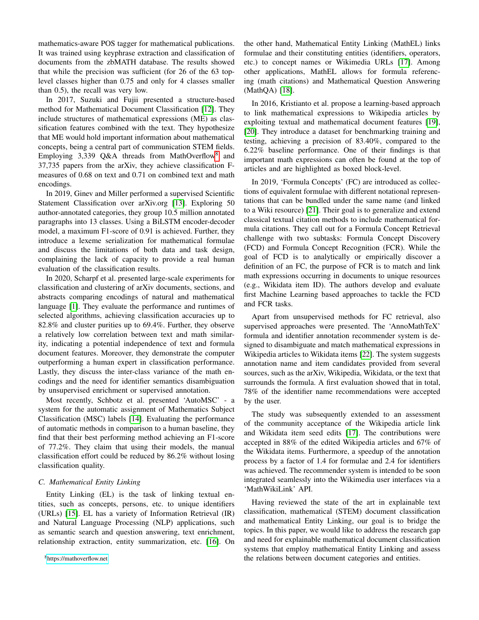mathematics-aware POS tagger for mathematical publications. It was trained using keyphrase extraction and classification of documents from the zbMATH database. The results showed that while the precision was sufficient (for 26 of the 63 toplevel classes higher than 0.75 and only for 4 classes smaller than 0.5), the recall was very low.

In 2017, Suzuki and Fujii presented a structure-based method for Mathematical Document Classification [\[12\]](#page-9-11). They include structures of mathematical expressions (ME) as classification features combined with the text. They hypothesize that ME would hold important information about mathematical concepts, being a central part of communication STEM fields. Employing 3,339 Q&A threads from MathOverflow<sup>[8](#page-2-0)</sup> and 37,735 papers from the arXiv, they achieve classification Fmeasures of 0.68 on text and 0.71 on combined text and math encodings.

In 2019, Ginev and Miller performed a supervised Scientific Statement Classification over arXiv.org [\[13\]](#page-9-12). Exploring 50 author-annotated categories, they group 10.5 million annotated paragraphs into 13 classes. Using a BiLSTM encoder-decoder model, a maximum F1-score of 0.91 is achieved. Further, they introduce a lexeme serialization for mathematical formulae and discuss the limitations of both data and task design, complaining the lack of capacity to provide a real human evaluation of the classification results.

In 2020, Scharpf et al. presented large-scale experiments for classification and clustering of arXiv documents, sections, and abstracts comparing encodings of natural and mathematical language [\[1\]](#page-9-0). They evaluate the performance and runtimes of selected algorithms, achieving classification accuracies up to 82.8% and cluster purities up to 69.4%. Further, they observe a relatively low correlation between text and math similarity, indicating a potential independence of text and formula document features. Moreover, they demonstrate the computer outperforming a human expert in classification performance. Lastly, they discuss the inter-class variance of the math encodings and the need for identifier semantics disambiguation by unsupervised enrichment or supervised annotation.

Most recently, Schbotz et al. presented 'AutoMSC' - a system for the automatic assignment of Mathematics Subject Classification (MSC) labels [\[14\]](#page-9-13). Evaluating the performance of automatic methods in comparison to a human baseline, they find that their best performing method achieving an F1-score of 77.2%. They claim that using their models, the manual classification effort could be reduced by 86.2% without losing classification quality.

# *C. Mathematical Entity Linking*

<span id="page-2-0"></span>Entity Linking (EL) is the task of linking textual entities, such as concepts, persons, etc. to unique identifiers (URLs) [\[15\]](#page-9-14). EL has a variety of Information Retrieval (IR) and Natural Language Processing (NLP) applications, such as semantic search and question answering, text enrichment, relationship extraction, entity summarization, etc. [\[16\]](#page-9-15). On the other hand, Mathematical Entity Linking (MathEL) links formulae and their constituting entities (identifiers, operators, etc.) to concept names or Wikimedia URLs [\[17\]](#page-9-16). Among other applications, MathEL allows for formula referencing (math citations) and Mathematical Question Answering (MathQA) [\[18\]](#page-9-17).

In 2016, Kristianto et al. propose a learning-based approach to link mathematical expressions to Wikipedia articles by exploiting textual and mathematical document features [\[19\]](#page-9-18), [\[20\]](#page-9-19). They introduce a dataset for benchmarking training and testing, achieving a precision of 83.40%, compared to the 6.22% baseline performance. One of their findings is that important math expressions can often be found at the top of articles and are highlighted as boxed block-level.

In 2019, 'Formula Concepts' (FC) are introduced as collections of equivalent formulae with different notational representations that can be bundled under the same name (and linked to a Wiki resource) [\[21\]](#page-9-20). Their goal is to generalize and extend classical textual citation methods to include mathematical formula citations. They call out for a Formula Concept Retrieval challenge with two subtasks: Formula Concept Discovery (FCD) and Formula Concept Recognition (FCR). While the goal of FCD is to analytically or empirically discover a definition of an FC, the purpose of FCR is to match and link math expressions occurring in documents to unique resources (e.g., Wikidata item ID). The authors develop and evaluate first Machine Learning based approaches to tackle the FCD and FCR tasks.

Apart from unsupervised methods for FC retrieval, also supervised approaches were presented. The 'AnnoMathTeX' formula and identifier annotation recommender system is designed to disambiguate and match mathematical expressions in Wikipedia articles to Wikidata items [\[22\]](#page-9-21). The system suggests annotation name and item candidates provided from several sources, such as the arXiv, Wikipedia, Wikidata, or the text that surrounds the formula. A first evaluation showed that in total, 78% of the identifier name recommendations were accepted by the user.

The study was subsequently extended to an assessment of the community acceptance of the Wikipedia article link and Wikidata item seed edits [\[17\]](#page-9-16). The contributions were accepted in 88% of the edited Wikipedia articles and 67% of the Wikidata items. Furthermore, a speedup of the annotation process by a factor of 1.4 for formulae and 2.4 for identifiers was achieved. The recommender system is intended to be soon integrated seamlessly into the Wikimedia user interfaces via a 'MathWikiLink' API.

Having reviewed the state of the art in explainable text classification, mathematical (STEM) document classification and mathematical Entity Linking, our goal is to bridge the topics. In this paper, we would like to address the research gap and need for explainable mathematical document classification systems that employ mathematical Entity Linking and assess the relations between document categories and entities.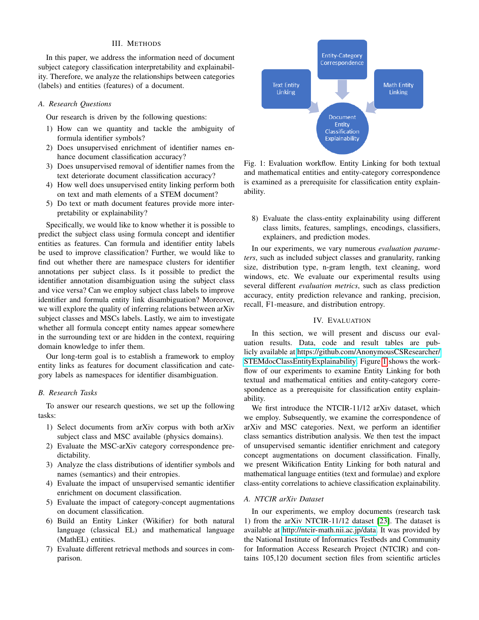#### III. METHODS

In this paper, we address the information need of document subject category classification interpretability and explainability. Therefore, we analyze the relationships between categories (labels) and entities (features) of a document.

# *A. Research Questions*

Our research is driven by the following questions:

- 1) How can we quantity and tackle the ambiguity of formula identifier symbols?
- 2) Does unsupervised enrichment of identifier names enhance document classification accuracy?
- 3) Does unsupervised removal of identifier names from the text deteriorate document classification accuracy?
- 4) How well does unsupervised entity linking perform both on text and math elements of a STEM document?
- 5) Do text or math document features provide more interpretability or explainability?

Specifically, we would like to know whether it is possible to predict the subject class using formula concept and identifier entities as features. Can formula and identifier entity labels be used to improve classification? Further, we would like to find out whether there are namespace clusters for identifier annotations per subject class. Is it possible to predict the identifier annotation disambiguation using the subject class and vice versa? Can we employ subject class labels to improve identifier and formula entity link disambiguation? Moreover, we will explore the quality of inferring relations between arXiv subject classes and MSCs labels. Lastly, we aim to investigate whether all formula concept entity names appear somewhere in the surrounding text or are hidden in the context, requiring domain knowledge to infer them.

Our long-term goal is to establish a framework to employ entity links as features for document classification and category labels as namespaces for identifier disambiguation.

# *B. Research Tasks*

To answer our research questions, we set up the following tasks:

- 1) Select documents from arXiv corpus with both arXiv subject class and MSC available (physics domains).
- 2) Evaluate the MSC-arXiv category correspondence predictability.
- 3) Analyze the class distributions of identifier symbols and names (semantics) and their entropies.
- 4) Evaluate the impact of unsupervised semantic identifier enrichment on document classification.
- 5) Evaluate the impact of category-concept augmentations on document classification.
- 6) Build an Entity Linker (Wikifier) for both natural language (classical EL) and mathematical language (MathEL) entities.
- 7) Evaluate different retrieval methods and sources in comparison.

<span id="page-3-0"></span>

Fig. 1: Evaluation workflow. Entity Linking for both textual and mathematical entities and entity-category correspondence is examined as a prerequisite for classification entity explainability.

8) Evaluate the class-entity explainability using different class limits, features, samplings, encodings, classifiers, explainers, and prediction modes.

In our experiments, we vary numerous *evaluation parameters*, such as included subject classes and granularity, ranking size, distribution type, n-gram length, text cleaning, word windows, etc. We evaluate our experimental results using several different *evaluation metrics*, such as class prediction accuracy, entity prediction relevance and ranking, precision, recall, F1-measure, and distribution entropy.

#### IV. EVALUATION

In this section, we will present and discuss our evaluation results. Data, code and result tables are publicly available at [https://github.com/AnonymousCSResearcher/](https://github.com/AnonymousCSResearcher/STEMdocClassEntityExplainability) [STEMdocClassEntityExplainability.](https://github.com/AnonymousCSResearcher/STEMdocClassEntityExplainability) Figure [1](#page-3-0) shows the workflow of our experiments to examine Entity Linking for both textual and mathematical entities and entity-category correspondence as a prerequisite for classification entity explainability.

We first introduce the NTCIR-11/12 arXiv dataset, which we employ. Subsequently, we examine the correspondence of arXiv and MSC categories. Next, we perform an identifier class semantics distribution analysis. We then test the impact of unsupervised semantic identifier enrichment and category concept augmentations on document classification. Finally, we present Wikification Entity Linking for both natural and mathematical language entities (text and formulae) and explore class-entity correlations to achieve classification explainability.

## *A. NTCIR arXiv Dataset*

In our experiments, we employ documents (research task 1) from the arXiv NTCIR-11/12 dataset [\[23\]](#page-9-22). The dataset is available at [http://ntcir-math.nii.ac.jp/data.](http://ntcir-math.nii.ac.jp/data) It was provided by the National Institute of Informatics Testbeds and Community for Information Access Research Project (NTCIR) and contains 105,120 document section files from scientific articles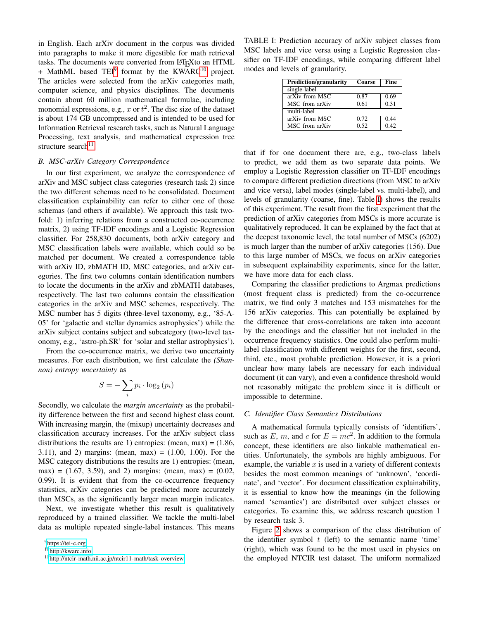in English. Each arXiv document in the corpus was divided into paragraphs to make it more digestible for math retrieval tasks. The documents were converted from LATEXto an HTML  $+$  MathML based TEI<sup>[9](#page-4-0)</sup> format by the KWARC<sup>[10](#page-4-1)</sup> project. The articles were selected from the arXiv categories math, computer science, and physics disciplines. The documents contain about 60 million mathematical formulae, including monomial expressions, e.g., x or  $t^2$ . The disc size of the dataset is about 174 GB uncompressed and is intended to be used for Information Retrieval research tasks, such as Natural Language Processing, text analysis, and mathematical expression tree structure search<sup>[11](#page-4-2)</sup>.

## *B. MSC-arXiv Category Correspondence*

In our first experiment, we analyze the correspondence of arXiv and MSC subject class categories (research task 2) since the two different schemas need to be consolidated. Document classification explainability can refer to either one of those schemas (and others if available). We approach this task twofold: 1) inferring relations from a constructed co-occurrence matrix, 2) using TF-IDF encodings and a Logistic Regression classifier. For 258,830 documents, both arXiv category and MSC classification labels were available, which could so be matched per document. We created a correspondence table with arXiv ID, zbMATH ID, MSC categories, and arXiv categories. The first two columns contain identification numbers to locate the documents in the arXiv and zbMATH databases, respectively. The last two columns contain the classification categories in the arXiv and MSC schemes, respectively. The MSC number has 5 digits (three-level taxonomy, e.g., '85-A-05' for 'galactic and stellar dynamics astrophysics') while the arXiv subject contains subject and subcategory (two-level taxonomy, e.g., 'astro-ph.SR' for 'solar and stellar astrophysics').

From the co-occurrence matrix, we derive two uncertainty measures. For each distribution, we first calculate the *(Shannon) entropy uncertainty* as

$$
S = -\sum_{i} p_i \cdot \log_2 (p_i)
$$

Secondly, we calculate the *margin uncertainty* as the probability difference between the first and second highest class count. With increasing margin, the (mixup) uncertainty decreases and classification accuracy increases. For the arXiv subject class distributions the results are 1) entropies: (mean, max) =  $(1.86,$ 3.11), and 2) margins: (mean, max) = (1.00, 1.00). For the MSC category distributions the results are 1) entropies: (mean, max) = (1.67, 3.59), and 2) margins: (mean, max) = (0.02, 0.99). It is evident that from the co-occurrence frequency statistics, arXiv categories can be predicted more accurately than MSCs, as the significantly larger mean margin indicates.

Next, we investigate whether this result is qualitatively reproduced by a trained classifier. We tackle the multi-label data as multiple repeated single-label instances. This means

<span id="page-4-3"></span>TABLE I: Prediction accuracy of arXiv subject classes from MSC labels and vice versa using a Logistic Regression classifier on TF-IDF encodings, while comparing different label modes and levels of granularity.

| <b>Prediction/granularity</b> | Coarse | <b>Fine</b>       |  |
|-------------------------------|--------|-------------------|--|
| single-label                  |        |                   |  |
| arXiv from MSC                | 0.87   | 0.69              |  |
| MSC from arXiv                | 0.61   | $0.\overline{31}$ |  |
| multi-label                   |        |                   |  |
| $arXiv$ from $MSC$            | 0.72   | 0.44              |  |
| MSC from arXiv                | 0.52   | 0.42              |  |

that if for one document there are, e.g., two-class labels to predict, we add them as two separate data points. We employ a Logistic Regression classifier on TF-IDF encodings to compare different prediction directions (from MSC to arXiv and vice versa), label modes (single-label vs. multi-label), and levels of granularity (coarse, fine). Table [I\)](#page-4-3) shows the results of this experiment. The result from the first experiment that the prediction of arXiv categories from MSCs is more accurate is qualitatively reproduced. It can be explained by the fact that at the deepest taxonomic level, the total number of MSCs (6202) is much larger than the number of arXiv categories (156). Due to this large number of MSCs, we focus on arXiv categories in subsequent explainability experiments, since for the latter, we have more data for each class.

Comparing the classifier predictions to Argmax predictions (most frequent class is predicted) from the co-occurrence matrix, we find only 3 matches and 153 mismatches for the 156 arXiv categories. This can potentially be explained by the difference that cross-correlations are taken into account by the encodings and the classifier but not included in the occurrence frequency statistics. One could also perform multilabel classification with different weights for the first, second, third, etc., most probable prediction. However, it is a priori unclear how many labels are necessary for each individual document (it can vary), and even a confidence threshold would not reasonably mitigate the problem since it is difficult or impossible to determine.

# *C. Identifier Class Semantics Distributions*

A mathematical formula typically consists of 'identifiers', such as E, m, and c for  $E = mc^2$ . In addition to the formula concept, these identifiers are also linkable mathematical entities. Unfortunately, the symbols are highly ambiguous. For example, the variable  $x$  is used in a variety of different contexts besides the most common meanings of 'unknown', 'coordinate', and 'vector'. For document classification explainability, it is essential to know how the meanings (in the following named 'semantics') are distributed over subject classes or categories. To examine this, we address research question 1 by research task 3.

Figure [2](#page-5-0) shows a comparison of the class distribution of the identifier symbol  $t$  (left) to the semantic name 'time' (right), which was found to be the most used in physics on the employed NTCIR test dataset. The uniform normalized

<span id="page-4-0"></span><sup>&</sup>lt;sup>9</sup><https://tei-c.org>

<span id="page-4-1"></span><sup>10</sup><http://kwarc.info>

<span id="page-4-2"></span><sup>11</sup><http://ntcir-math.nii.ac.jp/ntcir11-math/task-overview>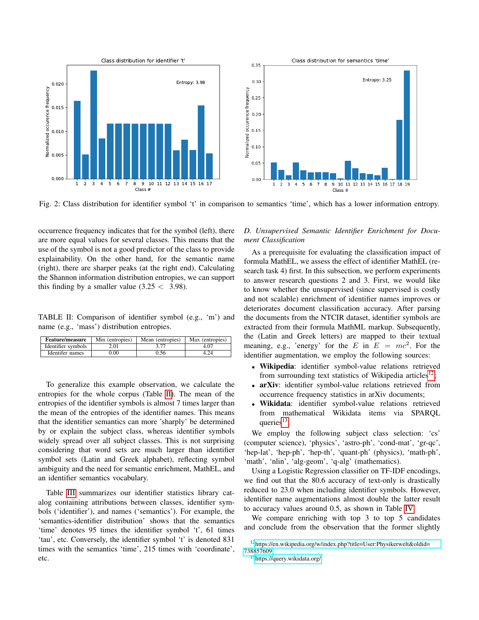<span id="page-5-0"></span>

Fig. 2: Class distribution for identifier symbol 't' in comparison to semantics 'time', which has a lower information entropy.

occurrence frequency indicates that for the symbol (left), there are more equal values for several classes. This means that the use of the symbol is not a good predictor of the class to provide explainability. On the other hand, for the semantic name (right), there are sharper peaks (at the right end). Calculating the Shannon information distribution entropies, we can support this finding by a smaller value  $(3.25 < 3.98)$ .

<span id="page-5-1"></span>TABLE II: Comparison of identifier symbol (e.g., 'm') and name (e.g., 'mass') distribution entropies.

| <b>Feature/measure</b><br>Min (entropies) |          | Mean (entropies) | Max (entropies) |  |
|-------------------------------------------|----------|------------------|-----------------|--|
| Identifier symbols                        | 2.01     |                  | 4.07            |  |
| Identifer names                           | $0.00\,$ | 0.56             |                 |  |

To generalize this example observation, we calculate the entropies for the whole corpus (Table [II\)](#page-5-1). The mean of the entropies of the identifier symbols is almost 7 times larger than the mean of the entropies of the identifier names. This means that the identifier semantics can more 'sharply' be determined by or explain the subject class, whereas identifier symbols widely spread over all subject classes. This is not surprising considering that word sets are much larger than identifier symbol sets (Latin and Greek alphabet), reflecting symbol ambiguity and the need for semantic enrichment, MathEL, and an identifier semantics vocabulary.

Table [III](#page-6-0) summarizes our identifier statistics library catalog containing attributions between classes, identifier symbols ('identifier'), and names ('semantics'). For example, the 'semantics-identifier distribution' shows that the semantics 'time' denotes 95 times the identifier symbol 't', 61 times 'tau', etc. Conversely, the identifier symbol 't' is denoted 831 times with the semantics 'time', 215 times with 'coordinate', etc.

# *D. Unsupervised Semantic Identifier Enrichment for Document Classification*

As a prerequisite for evaluating the classification impact of formula MathEL, we assess the effect of identifier MathEL (research task 4) first. In this subsection, we perform experiments to answer research questions 2 and 3. First, we would like to know whether the unsupervised (since supervised is costly and not scalable) enrichment of identifier names improves or deteriorates document classification accuracy. After parsing the documents from the NTCIR dataset, identifier symbols are extracted from their formula MathML markup. Subsequently, the (Latin and Greek letters) are mapped to their textual meaning, e.g., 'energy' for the E in  $E = mc^2$ . For the identifier augmentation, we employ the following sources:

- Wikipedia: identifier symbol-value relations retrieved from surrounding text statistics of Wikipedia articles<sup>[12](#page-5-2)</sup>;
- arXiv: identifier symbol-value relations retrieved from occurrence frequency statistics in arXiv documents;
- Wikidata: identifier symbol-value relations retrieved from mathematical Wikidata items via SPARQL queries $^{13}$  $^{13}$  $^{13}$ .

We employ the following subject class selection: 'cs' (computer science), 'physics', 'astro-ph', 'cond-mat', 'gr-qc', 'hep-lat', 'hep-ph', 'hep-th', 'quant-ph' (physics), 'math-ph', 'math', 'nlin', 'alg-geom', 'q-alg' (mathematics).

Using a Logistic Regression classifier on TF-IDF encodings, we find out that the 80.6 accuracy of text-only is drastically reduced to 23.0 when including identifier symbols. However, identifier name augmentations almost double the latter result to accuracy values around 0.5, as shown in Table [IV.](#page-6-1)

We compare enriching with top 3 to top 5 candidates and conclude from the observation that the former slightly

<span id="page-5-2"></span><sup>12</sup>[https://en.wikipedia.org/w/index.php?title=User:Physikerwelt&oldid=](https://en.wikipedia.org/w/index.php?title=User:Physikerwelt&oldid=738857609) [738857609](https://en.wikipedia.org/w/index.php?title=User:Physikerwelt&oldid=738857609)

<span id="page-5-3"></span><sup>13</sup><https://query.wikidata.org/>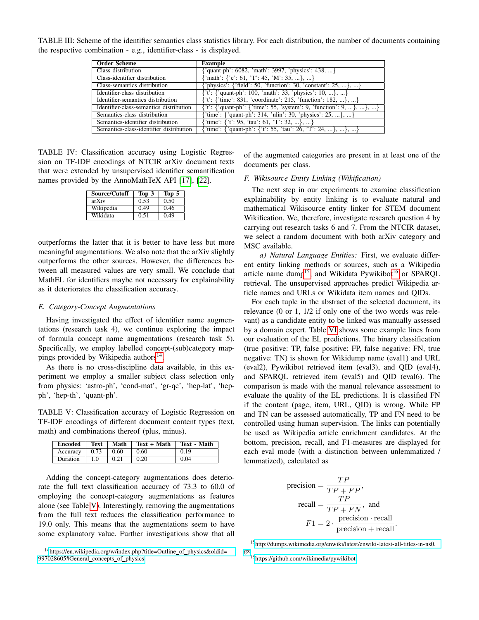<span id="page-6-0"></span>TABLE III: Scheme of the identifier semantics class statistics library. For each distribution, the number of documents containing the respective combination - e.g., identifier-class - is displayed.

| <b>Order Scheme</b>                     | Example                                                                    |
|-----------------------------------------|----------------------------------------------------------------------------|
| Class distribution                      | {'quant-ph': 6082, 'math': 3997, 'physics': 438, }                         |
| Class-identifier distribution           | $\{\text{'math}: \{e': 61, 'T': 45, 'M': 35, \}, \}$                       |
| Class-semantics distribution            | {'physics': {'field': 50, 'function': 30, 'constant': 25, }, }             |
| Identifier-class distribution           | $\{ 't' : \{ 'quant-ph' : 100, 'math': 33, 'physics': 10, \},  \}$         |
| Identifier-semantics distribution       | $\{ 't' : \{ 'time' : 831, 'coordinate' : 215, 'function' : 182, \},  \}$  |
| Identifier-class-semantics distribution | $\{ 't': \{ 'quant-ph': \{ 'time': 55, 'system': 9, 'function': 9, \}, \}$ |
| Semantics-class distribution            | {'time': {'quant-ph': 314, 'nlin': 30, 'physics': 25, }, }                 |
| Semantics-identifier distribution       | {'time': {'t': 95, 'tau': 61, 'T': 32, }, }                                |
| Semantics-class-identifier distribution | {'time': {'quant-ph': {'t': 55, 'tau': 26, 'T': 24, }, }, }                |

<span id="page-6-1"></span>TABLE IV: Classification accuracy using Logistic Regression on TF-IDF encodings of NTCIR arXiv document texts that were extended by unsupervised identifier semantification names provided by the AnnoMathTeX API [\[17\]](#page-9-16), [\[22\]](#page-9-21).

| Source/Cutoff | Top 3 | Top 5 |
|---------------|-------|-------|
| arXiv         | 0.53  | 0.50  |
| Wikipedia     | 0.49  | 0.46  |
| Wikidata      | 0.51  | 0.49  |

outperforms the latter that it is better to have less but more meaningful augmentations. We also note that the arXiv slightly outperforms the other sources. However, the differences between all measured values are very small. We conclude that MathEL for identifiers maybe not necessary for explainability as it deteriorates the classification accuracy.

#### *E. Category-Concept Augmentations*

Having investigated the effect of identifier name augmentations (research task 4), we continue exploring the impact of formula concept name augmentations (research task 5). Specifically, we employ labelled concept-(sub)category map-pings provided by Wikipedia authors<sup>[14](#page-6-2)</sup>.

As there is no cross-discipline data available, in this experiment we employ a smaller subject class selection only from physics: 'astro-ph', 'cond-mat', 'gr-qc', 'hep-lat', 'hepph', 'hep-th', 'quant-ph'.

<span id="page-6-3"></span>TABLE V: Classification accuracy of Logistic Regression on TF-IDF encodings of different document content types (text, math) and combinations thereof (plus, minus).

| <b>Encoded</b> | Text | Math         | Text + Math | Text - Math |
|----------------|------|--------------|-------------|-------------|
| Accuracy       | 0.73 | $\perp 0.60$ | 0.60        | 0.19        |
| Duration       |      | 0.21         | 0.20        | 0.04        |

Adding the concept-category augmentations does deteriorate the full text classification accuracy of 73.3 to 60.0 of employing the concept-category augmentations as features alone (see Table [V\)](#page-6-3). Interestingly, removing the augmentations from the full text reduces the classification performance to 19.0 only. This means that the augmentations seem to have some explanatory value. Further investigations show that all

of the augmented categories are present in at least one of the documents per class.

# *F. Wikisource Entity Linking (Wikification)*

The next step in our experiments to examine classification explainability by entity linking is to evaluate natural and mathematical Wikisource entity linker for STEM document Wikification. We, therefore, investigate research question 4 by carrying out research tasks 6 and 7. From the NTCIR dataset, we select a random document with both arXiv category and MSC available.

*a) Natural Language Entities:* First, we evaluate different entity linking methods or sources, such as a Wikipedia article name dump<sup>[15](#page-6-4)</sup>, and Wikidata Pywikibot<sup>[16](#page-6-5)</sup> or SPARQL retrieval. The unsupervised approaches predict Wikipedia article names and URLs or Wikidata item names and QIDs.

For each tuple in the abstract of the selected document, its relevance (0 or 1, 1/2 if only one of the two words was relevant) as a candidate entity to be linked was manually assessed by a domain expert. Table [VI](#page-7-0) shows some example lines from our evaluation of the EL predictions. The binary classification (true positive: TP, false positive: FP, false negative: FN, true negative: TN) is shown for Wikidump name (eval1) and URL (eval2), Pywikibot retrieved item (eval3), and QID (eval4), and SPARQL retrieved item (eval5) and QID (eval6). The comparison is made with the manual relevance assessment to evaluate the quality of the EL predictions. It is classified FN if the content (page, item, URL, QID) is wrong. While FP and TN can be assessed automatically, TP and FN need to be controlled using human supervision. The links can potentially be used as Wikipedia article enrichment candidates. At the bottom, precision, recall, and F1-measures are displayed for each eval mode (with a distinction between unlemmatized / lemmatized), calculated as

$$
precision = \frac{TP}{TP + FP},
$$

$$
recall = \frac{TP}{TP + FN}, and
$$

$$
F1 = 2 \cdot \frac{\text{precision} \cdot \text{recall}}{\text{precision} + \text{recall}}.
$$

[gz](http://dumps.wikimedia.org/enwiki/latest/enwiki-latest-all-titles-in-ns0.gz)

<span id="page-6-2"></span><sup>&</sup>lt;sup>14</sup>[https://en.wikipedia.org/w/index.php?title=Outline](https://en.wikipedia.org/w/index.php?title=Outline_of_physics&oldid=997028605#General_concepts_of_physics)\_of\_physics&oldid= [997028605#General](https://en.wikipedia.org/w/index.php?title=Outline_of_physics&oldid=997028605#General_concepts_of_physics)\_concepts\_of\_physics

<span id="page-6-4"></span><sup>15</sup>[http://dumps.wikimedia.org/enwiki/latest/enwiki-latest-all-titles-in-ns0.](http://dumps.wikimedia.org/enwiki/latest/enwiki-latest-all-titles-in-ns0.gz)

<span id="page-6-5"></span><sup>16</sup><https://github.com/wikimedia/pywikibot>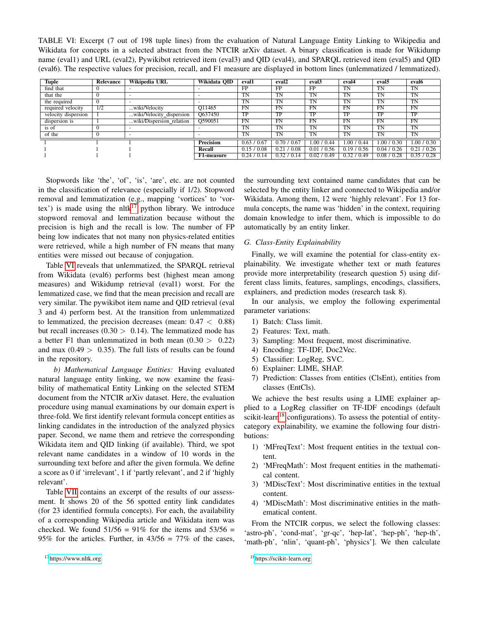<span id="page-7-0"></span>TABLE VI: Excerpt (7 out of 198 tuple lines) from the evaluation of Natural Language Entity Linking to Wikipedia and Wikidata for concepts in a selected abstract from the NTCIR arXiv dataset. A binary classification is made for Wikidump name (eval1) and URL (eval2), Pywikibot retrieved item (eval3) and QID (eval4), and SPARQL retrieved item (eval5) and QID (eval6). The respective values for precision, recall, and F1 measure are displayed in bottom lines (unlemmatized / lemmatized).

| Tuple               | Relevance       | Wikipedia URL            | Wikidata OID      | eval1       | eval <sub>2</sub> | eval <sub>3</sub> | eval4       | eval <sub>5</sub> | eval6       |
|---------------------|-----------------|--------------------------|-------------------|-------------|-------------------|-------------------|-------------|-------------------|-------------|
| find that           |                 |                          |                   | FP          | FP                | FP                | <b>TN</b>   | <b>TN</b>         | <b>TN</b>   |
| that the            |                 |                          |                   | <b>TN</b>   | TN                | TN                | TN          | TN                | TN          |
| the required        |                 |                          |                   | <b>TN</b>   | TN                | TN                | TN          | <b>TN</b>         | <b>TN</b>   |
| required velocity   | $1\overline{2}$ | wiki/Velocity            | O11465            | FN          | FN                | <b>FN</b>         | FN          | FN                | FN          |
| velocity dispersion |                 | wiki/Velocity_dispersion | Q637450           | TP          | TP                | TP                | TP          | TP                | TP          |
| dispersion is       |                 | wiki/Dispersion relation | O590051           | <b>FN</b>   | FN                | FN                | FN          | FN                | FN          |
| is of               |                 |                          |                   | TN          | TN                | TN                | TN          | TN                | <b>TN</b>   |
| of the              |                 |                          |                   | <b>TN</b>   | TN                | TN                | TN          | TN                | TN          |
|                     |                 |                          | <b>Precision</b>  | 0.63 / 0.67 | 0.70 / 0.67       | 1.00 / 0.44       | 1.00 / 0.44 | 1.00 / 0.30       | 1.00 / 0.30 |
|                     |                 |                          | Recall            | 0.15/0.08   | 7.0.08<br>0.21    | 0.01 / 0.56       | 0.19 / 0.56 | 0.04 / 0.26       | 0.21 / 0.26 |
|                     |                 |                          | <b>F1-measure</b> | 0.24/0.14   | 0.32 / 0.14       | 0.02 / 0.49       | 0.32 / 0.49 | 0.08 / 0.28       | 0.35/0.28   |

Stopwords like 'the', 'of', 'is', 'are', etc. are not counted in the classification of relevance (especially if 1/2). Stopword removal and lemmatization (e.g., mapping 'vortices' to 'vor-tex') is made using the nltk<sup>[17](#page-7-1)</sup> python library. We introduce stopword removal and lemmatization because without the precision is high and the recall is low. The number of FP being low indicates that not many non physics-related entities were retrieved, while a high number of FN means that many entities were missed out because of conjugation.

Table [VI](#page-7-0) reveals that unlemmatized, the SPARQL retrieval from Wikidata (eval6) performs best (highest mean among measures) and Wikidump retrieval (eval1) worst. For the lemmatized case, we find that the mean precision and recall are very similar. The pywikibot item name and QID retrieval (eval 3 and 4) perform best. At the transition from unlemmatized to lemmatized, the precision decreases (mean:  $0.47 < 0.88$ ) but recall increases  $(0.30 > 0.14)$ . The lemmatized mode has a better F1 than unlemmatized in both mean  $(0.30 > 0.22)$ and max  $(0.49 > 0.35)$ . The full lists of results can be found in the repository.

*b) Mathematical Language Entities:* Having evaluated natural language entity linking, we now examine the feasibility of mathematical Entity Linking on the selected STEM document from the NTCIR arXiv dataset. Here, the evaluation procedure using manual examinations by our domain expert is three-fold. We first identify relevant formula concept entities as linking candidates in the introduction of the analyzed physics paper. Second, we name them and retrieve the corresponding Wikidata item and QID linking (if available). Third, we spot relevant name candidates in a window of 10 words in the surrounding text before and after the given formula. We define a score as 0 if 'irrelevant', 1 if 'partly relevant', and 2 if 'highly relevant'.

<span id="page-7-1"></span>Table [VII](#page-8-0) contains an excerpt of the results of our assessment. It shows 20 of the 56 spotted entity link candidates (for 23 identified formula concepts). For each, the availability of a corresponding Wikipedia article and Wikidata item was checked. We found  $51/56 = 91\%$  for the items and  $53/56 =$ 95% for the articles. Further, in  $43/56 = 77\%$  of the cases, the surrounding text contained name candidates that can be selected by the entity linker and connected to Wikipedia and/or Wikidata. Among them, 12 were 'highly relevant'. For 13 formula concepts, the name was 'hidden' in the context, requiring domain knowledge to infer them, which is impossible to do automatically by an entity linker.

# *G. Class-Entity Explainability*

Finally, we will examine the potential for class-entity explainability. We investigate whether text or math features provide more interpretability (research question 5) using different class limits, features, samplings, encodings, classifiers, explainers, and prediction modes (research task 8).

In our analysis, we employ the following experimental parameter variations:

- 1) Batch: Class limit.
- 2) Features: Text, math.
- 3) Sampling: Most frequent, most discriminative.
- 4) Encoding: TF-IDF, Doc2Vec.
- 5) Classifier: LogReg, SVC.
- 6) Explainer: LIME, SHAP.
- 7) Prediction: Classes from entities (ClsEnt), entities from classes (EntCls).

We achieve the best results using a LIME explainer applied to a LogReg classifier on TF-IDF encodings (default scikit-learn<sup>[18](#page-7-2)</sup> configurations). To assess the potential of entitycategory explainability, we examine the following four distributions:

- 1) 'MFreqText': Most frequent entities in the textual content.
- 2) 'MFreqMath': Most frequent entities in the mathematical content.
- 3) 'MDiscText': Most discriminative entities in the textual content.
- 4) 'MDiscMath': Most discriminative entities in the mathematical content.

From the NTCIR corpus, we select the following classes: 'astro-ph', 'cond-mat', 'gr-qc', 'hep-lat', 'hep-ph', 'hep-th', 'math-ph', 'nlin', 'quant-ph', 'physics']. We then calculate

<span id="page-7-2"></span><sup>18</sup><https://scikit-learn.org>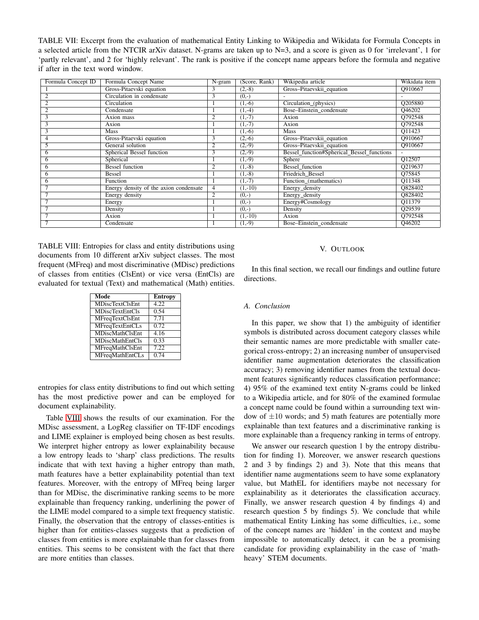<span id="page-8-0"></span>TABLE VII: Excerpt from the evaluation of mathematical Entity Linking to Wikipedia and Wikidata for Formula Concepts in a selected article from the NTCIR arXiv dataset. N-grams are taken up to N=3, and a score is given as 0 for 'irrelevant', 1 for 'partly relevant', and 2 for 'highly relevant'. The rank is positive if the concept name appears before the formula and negative if after in the text word window.

| Formula Concept ID | Formula Concept Name                   | N-gram         | (Score, Rank) | Wikipedia article                          | Wikidata item       |
|--------------------|----------------------------------------|----------------|---------------|--------------------------------------------|---------------------|
|                    | Gross-Pitaevski equation               | 3              | $(2,-8)$      | Gross-Pitaevskii equation                  | O910667             |
|                    | Circulation in condensate              | 3              | $(0,-)$       |                                            |                     |
| $\overline{2}$     | Circulation                            |                | $(1,-6)$      | Circulation_(physics)                      | Q205880             |
| $\overline{2}$     | Condensate                             |                | $(1,-4)$      | Bose-Einstein_condensate                   | Q46202              |
| 3                  | Axion mass                             | 2              | $(1,-7)$      | Axion                                      | O792548             |
| 3                  | Axion                                  |                | $(1,-7)$      | Axion                                      | O792548             |
| J.                 | <b>Mass</b>                            |                | $(1,-6)$      | <b>Mass</b>                                | O11423              |
|                    | Gross-Pitaevski equation               | 3              | $(2,-6)$      | Gross-Pitaevskii_equation                  | O910667             |
|                    | General solution                       | $\overline{2}$ | $(2,-9)$      | Gross-Pitaevskii equation                  | O910667             |
| h                  | Spherical Bessel function              | 3              | $(2,-9)$      | Bessel function#Spherical Bessel functions |                     |
| o                  | Spherical                              |                | $(1,-9)$      | Sphere                                     | O12507              |
| 6                  | <b>Bessel function</b>                 | $\overline{2}$ | $(1,-8)$      | Bessel function                            | O219637             |
| 6                  | Bessel                                 |                | $(1,-8)$      | Friedrich Bessel                           | O75845              |
| h                  | Function                               |                | $(1,-7)$      | Function (mathematics)                     | O11348              |
|                    | Energy density of the axion condensate | $\overline{4}$ | $(1,-10)$     | Energy_density                             | O828402             |
|                    | Energy density                         | $\overline{2}$ | $(0,-)$       | Energy_density                             | O828402             |
|                    | Energy                                 |                | $(0,-)$       | Energy#Cosmology                           | $\overline{Q11}379$ |
|                    | Density                                |                | $(0,-)$       | Density                                    | Q29539              |
|                    | Axion                                  |                | $(1,-10)$     | Axion                                      | O792548             |
|                    | Condensate                             |                | $(1,-9)$      | Bose-Einstein_condensate                   | Q46202              |

<span id="page-8-1"></span>TABLE VIII: Entropies for class and entity distributions using documents from 10 different arXiv subject classes. The most frequent (MFreq) and most discriminative (MDisc) predictions of classes from entities (ClsEnt) or vice versa (EntCls) are evaluated for textual (Text) and mathematical (Math) entities.

| Mode                   | <b>Entropy</b> |
|------------------------|----------------|
| <b>MDiscTextClsEnt</b> | 4.22           |
| <b>MDiscTextEntCls</b> | 0.54           |
| <b>MFreqTextClsEnt</b> | 7.71           |
| <b>MFreqTextEntCLs</b> | 0.72           |
| <b>MDiscMathClsEnt</b> | 4.16           |
| <b>MDiscMathEntCls</b> | 0.33           |
| MFreqMathClsEnt        | 722            |
| <b>MFreqMathEntCLs</b> | 0.74           |

entropies for class entity distributions to find out which setting has the most predictive power and can be employed for document explainability.

Table [VIII](#page-8-1) shows the results of our examination. For the MDisc assessment, a LogReg classifier on TF-IDF encodings and LIME explainer is employed being chosen as best results. We interpret higher entropy as lower explainability because a low entropy leads to 'sharp' class predictions. The results indicate that with text having a higher entropy than math, math features have a better explainability potential than text features. Moreover, with the entropy of MFreq being larger than for MDisc, the discriminative ranking seems to be more explainable than frequency ranking, underlining the power of the LIME model compared to a simple text frequency statistic. Finally, the observation that the entropy of classes-entities is higher than for entities-classes suggests that a prediction of classes from entities is more explainable than for classes from entities. This seems to be consistent with the fact that there are more entities than classes.

# V. OUTLOOK

In this final section, we recall our findings and outline future directions.

#### *A. Conclusion*

In this paper, we show that 1) the ambiguity of identifier symbols is distributed across document category classes while their semantic names are more predictable with smaller categorical cross-entropy; 2) an increasing number of unsupervised identifier name augmentation deteriorates the classification accuracy; 3) removing identifier names from the textual document features significantly reduces classification performance; 4) 95% of the examined text entity N-grams could be linked to a Wikipedia article, and for 80% of the examined formulae a concept name could be found within a surrounding text window of  $\pm 10$  words; and 5) math features are potentially more explainable than text features and a discriminative ranking is more explainable than a frequency ranking in terms of entropy.

We answer our research question 1 by the entropy distribution for finding 1). Moreover, we answer research questions 2 and 3 by findings 2) and 3). Note that this means that identifier name augmentations seem to have some explanatory value, but MathEL for identifiers maybe not necessary for explainability as it deteriorates the classification accuracy. Finally, we answer research question 4 by findings 4) and research question 5 by findings 5). We conclude that while mathematical Entity Linking has some difficulties, i.e., some of the concept names are 'hidden' in the context and maybe impossible to automatically detect, it can be a promising candidate for providing explainability in the case of 'mathheavy' STEM documents.